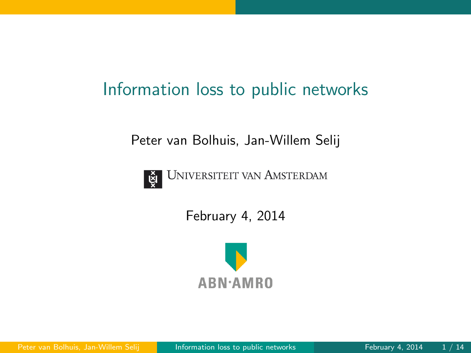## Information loss to public networks

Peter van Bolhuis, Jan-Willem Selij



**UNIVERSITEIT VAN AMSTERDAM** 

February 4, 2014

<span id="page-0-0"></span>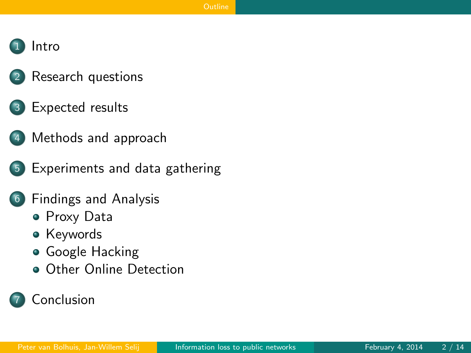#### **[Intro](#page-2-0)**

- [Research questions](#page-3-0)
- [Expected results](#page-4-0)
- 4 [Methods and approach](#page-5-0)
- 5 [Experiments and data gathering](#page-6-0)
- 6 [Findings and Analysis](#page-7-0)
	- [Proxy Data](#page-7-0)
	- **•** [Keywords](#page-9-0)
	- **[Google Hacking](#page-12-0)**
	- **[Other Online Detection](#page-18-0)**

#### <span id="page-1-0"></span>**[Conclusion](#page-19-0)**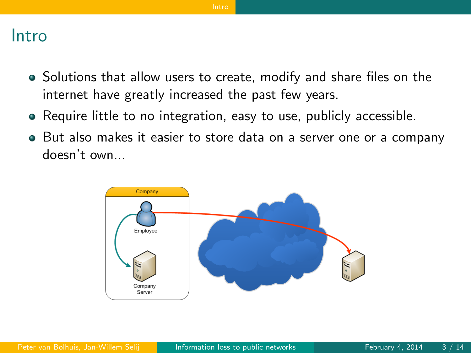#### Intro

- Solutions that allow users to create, modify and share files on the internet have greatly increased the past few years.
- Require little to no integration, easy to use, publicly accessible.
- But also makes it easier to store data on a server one or a company doesn't own...

<span id="page-2-0"></span>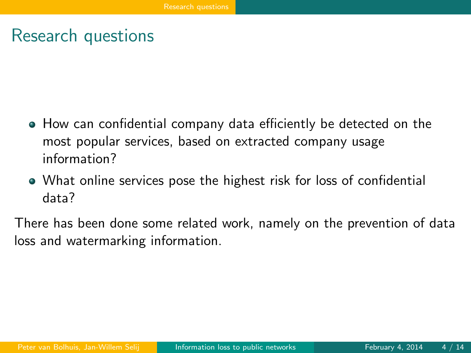#### Research questions

- How can confidential company data efficiently be detected on the most popular services, based on extracted company usage information?
- What online services pose the highest risk for loss of confidential data?

<span id="page-3-0"></span>There has been done some related work, namely on the prevention of data loss and watermarking information.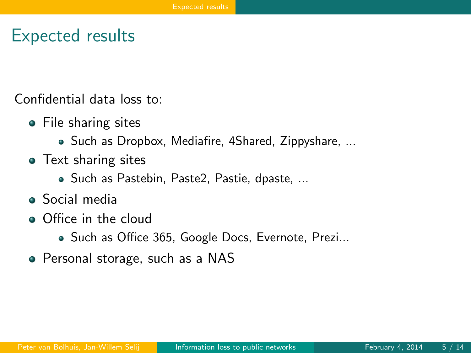#### Expected results

Confidential data loss to:

- File sharing sites
	- Such as Dropbox, Mediafire, 4Shared, Zippyshare, ...
- Text sharing sites
	- Such as Pastebin, Paste2, Pastie, dpaste, ...
- Social media
- Office in the cloud
	- Such as Office 365, Google Docs, Evernote, Prezi...
- <span id="page-4-0"></span>Personal storage, such as a NAS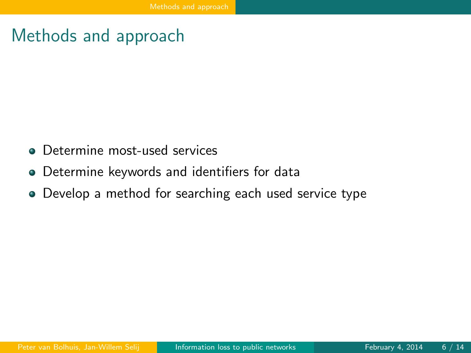#### Methods and approach

- **•** Determine most-used services
- Determine keywords and identifiers for data
- <span id="page-5-0"></span>Develop a method for searching each used service type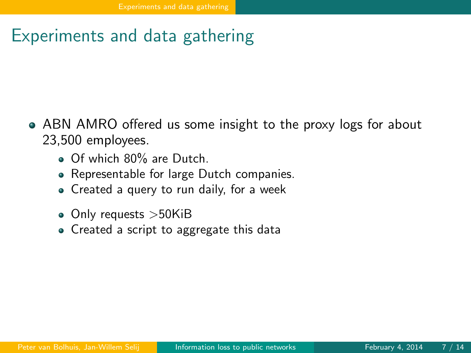## Experiments and data gathering

- <span id="page-6-0"></span>ABN AMRO offered us some insight to the proxy logs for about 23,500 employees.
	- Of which 80% are Dutch.
	- Representable for large Dutch companies.
	- Created a query to run daily, for a week
	- Only requests >50KiB
	- Created a script to aggregate this data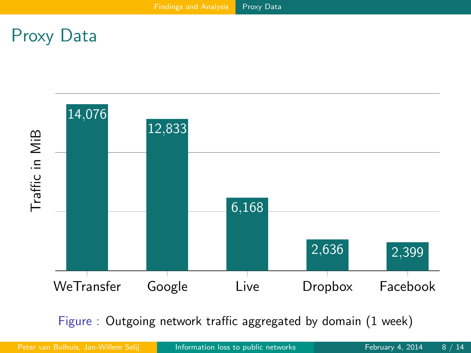#### Proxy Data



Figure : Outgoing network traffic aggregated by domain (1 week)

Peter van Bolhuis, Jan-Willem Selij | [Information loss to public networks](#page-0-0) | February 4, 2014 8 / 14

<span id="page-7-0"></span>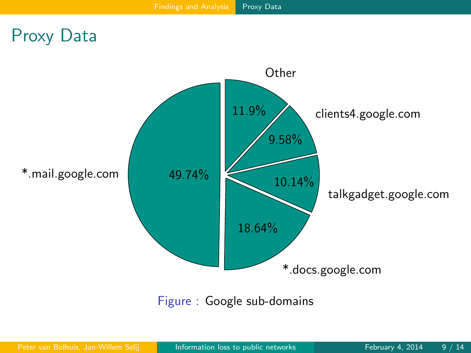#### Proxy Data



<span id="page-8-0"></span>Figure : Google sub-domains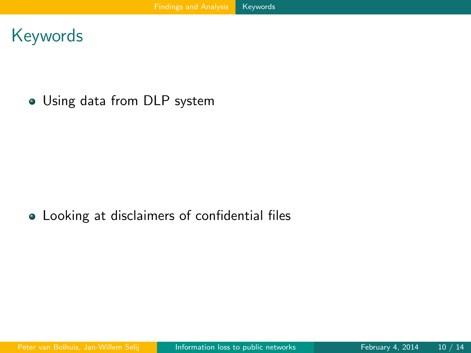#### Keywords

Using data from DLP system

#### <span id="page-9-0"></span>Looking at disclaimers of confidential files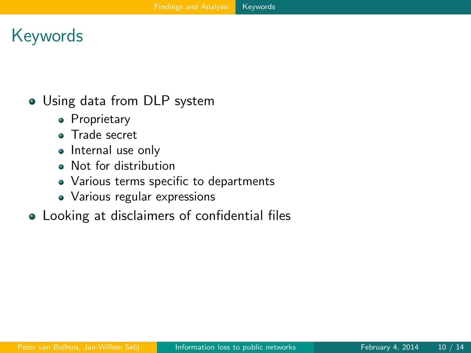# Keywords

• Using data from DLP system

- Proprietary
- Trade secret
- Internal use only
- Not for distribution
- Various terms specific to departments
- <span id="page-10-0"></span>Various regular expressions
- Looking at disclaimers of confidential files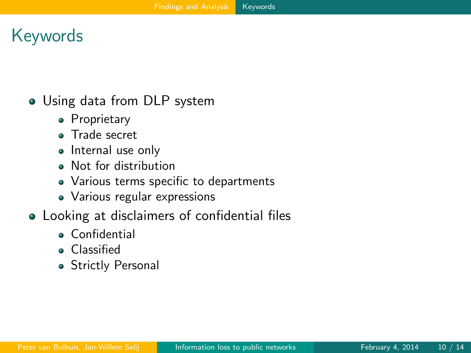# Keywords

• Using data from DLP system

- **•** Proprietary
- Trade secret
- Internal use only
- Not for distribution
- Various terms specific to departments
- <span id="page-11-0"></span>Various regular expressions
- Looking at disclaimers of confidential files
	- **Confidential**
	- **Classified**
	- **Strictly Personal**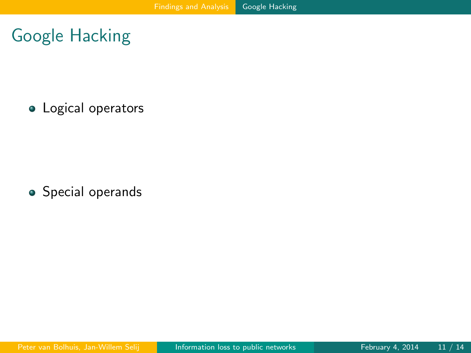Google Hacking

**·** Logical operators

<span id="page-12-0"></span>**•** Special operands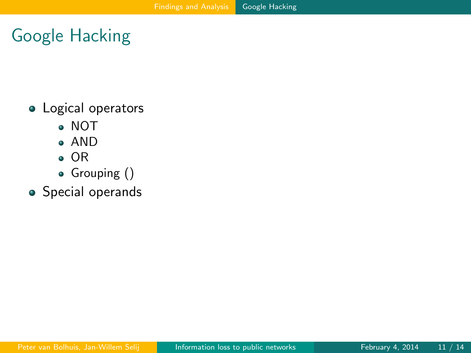# Google Hacking

- **·** Logical operators
	- NOT
	- AND
	- OR
	- Grouping ()
- <span id="page-13-0"></span>**•** Special operands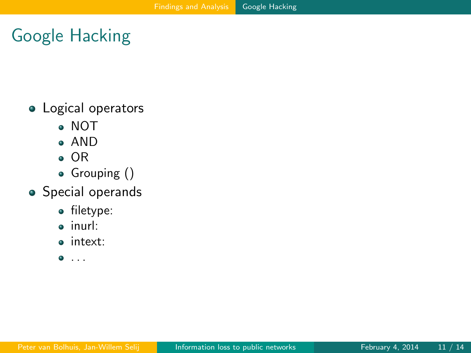# Google Hacking

- **·** Logical operators
	- NOT
	- AND
	- OR
	- Grouping ()
- <span id="page-14-0"></span>**•** Special operands
	- filetype:
	- inurl:
	- intext:
	- $\bullet$  . . .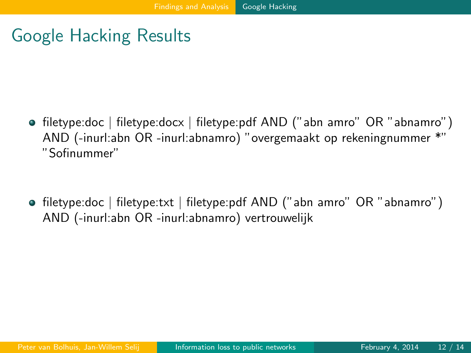## Google Hacking Results

- filetype:doc | filetype:docx | filetype:pdf AND ("abn amro" OR "abnamro") AND (-inurl:abn OR -inurl:abnamro) "overgemaakt op rekeningnummer \*" "Sofinummer"
- <span id="page-15-0"></span>• filetype:doc | filetype:txt | filetype:pdf AND ("abn amro" OR "abnamro") AND (-inurl:abn OR -inurl:abnamro) vertrouwelijk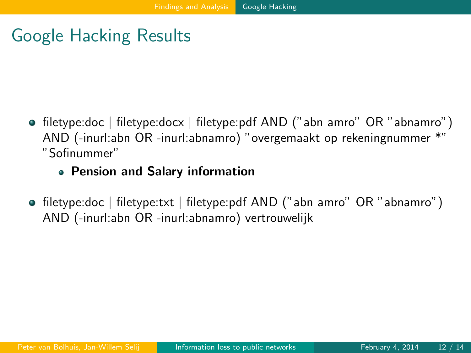## Google Hacking Results

- filetype:doc | filetype:docx | filetype:pdf AND ("abn amro" OR "abnamro") AND (-inurl:abn OR -inurl:abnamro) "overgemaakt op rekeningnummer \*" "Sofinummer"
	- Pension and Salary information
- <span id="page-16-0"></span>• filetype:doc | filetype:txt | filetype:pdf AND ("abn amro" OR "abnamro") AND (-inurl:abn OR -inurl:abnamro) vertrouwelijk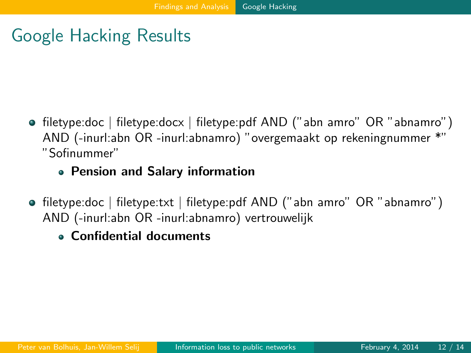# Google Hacking Results

- filetype:doc | filetype:docx | filetype:pdf AND ("abn amro" OR "abnamro") AND (-inurl:abn OR -inurl:abnamro) "overgemaakt op rekeningnummer \*" "Sofinummer"
	- Pension and Salary information
- <span id="page-17-0"></span>filetype:doc | filetype:txt | filetype:pdf AND ("abn amro" OR "abnamro") AND (-inurl:abn OR -inurl:abnamro) vertrouwelijk
	- Confidential documents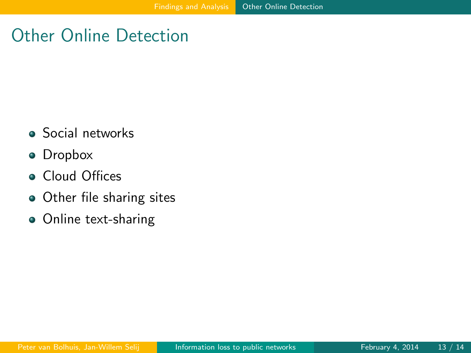# Other Online Detection

- **•** Social networks
- Dropbox
- **Cloud Offices**
- Other file sharing sites
- <span id="page-18-0"></span>• Online text-sharing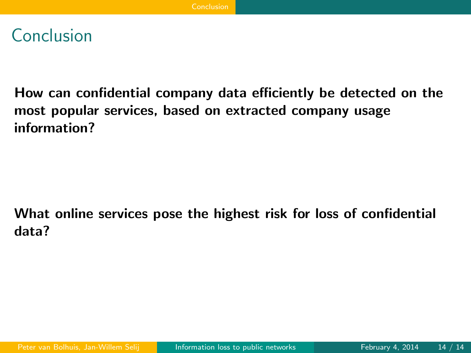#### Conclusion

How can confidential company data efficiently be detected on the most popular services, based on extracted company usage information?

<span id="page-19-0"></span>What online services pose the highest risk for loss of confidential data?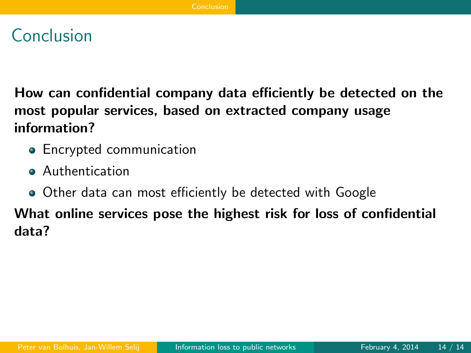#### Conclusion

How can confidential company data efficiently be detected on the most popular services, based on extracted company usage information?

- **•** Encrypted communication
- **Authentication**
- <span id="page-20-0"></span>Other data can most efficiently be detected with Google

What online services pose the highest risk for loss of confidential data?